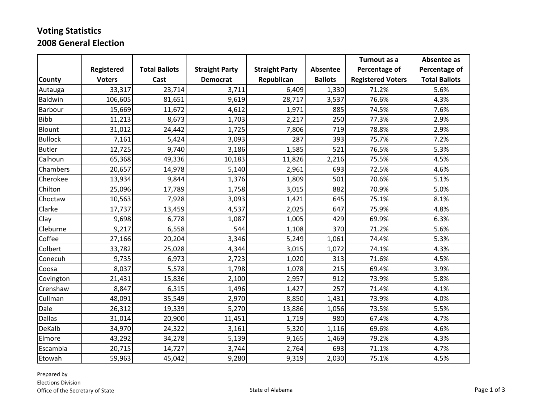## **Voting Statistics 2008 General Election**

|                |               |                      |                       |                       |                | Turnout as a             | Absentee as          |
|----------------|---------------|----------------------|-----------------------|-----------------------|----------------|--------------------------|----------------------|
|                | Registered    | <b>Total Ballots</b> | <b>Straight Party</b> | <b>Straight Party</b> | Absentee       | Percentage of            | Percentage of        |
| <b>County</b>  | <b>Voters</b> | Cast                 | <b>Democrat</b>       | Republican            | <b>Ballots</b> | <b>Registered Voters</b> | <b>Total Ballots</b> |
| Autauga        | 33,317        | 23,714               | 3,711                 | 6,409                 | 1,330          | 71.2%                    | 5.6%                 |
| Baldwin        | 106,605       | 81,651               | 9,619                 | 28,717                | 3,537          | 76.6%                    | 4.3%                 |
| Barbour        | 15,669        | 11,672               | 4,612                 | 1,971                 | 885            | 74.5%                    | 7.6%                 |
| <b>Bibb</b>    | 11,213        | 8,673                | 1,703                 | 2,217                 | 250            | 77.3%                    | 2.9%                 |
| Blount         | 31,012        | 24,442               | 1,725                 | 7,806                 | 719            | 78.8%                    | 2.9%                 |
| <b>Bullock</b> | 7,161         | 5,424                | 3,093                 | 287                   | 393            | 75.7%                    | 7.2%                 |
| <b>Butler</b>  | 12,725        | 9,740                | 3,186                 | 1,585                 | 521            | 76.5%                    | 5.3%                 |
| Calhoun        | 65,368        | 49,336               | 10,183                | 11,826                | 2,216          | 75.5%                    | 4.5%                 |
| Chambers       | 20,657        | 14,978               | 5,140                 | 2,961                 | 693            | 72.5%                    | 4.6%                 |
| Cherokee       | 13,934        | 9,844                | 1,376                 | 1,809                 | 501            | 70.6%                    | 5.1%                 |
| Chilton        | 25,096        | 17,789               | 1,758                 | 3,015                 | 882            | 70.9%                    | 5.0%                 |
| Choctaw        | 10,563        | 7,928                | 3,093                 | 1,421                 | 645            | 75.1%                    | 8.1%                 |
| Clarke         | 17,737        | 13,459               | 4,537                 | 2,025                 | 647            | 75.9%                    | 4.8%                 |
| Clay           | 9,698         | 6,778                | 1,087                 | 1,005                 | 429            | 69.9%                    | 6.3%                 |
| Cleburne       | 9,217         | 6,558                | 544                   | 1,108                 | 370            | 71.2%                    | 5.6%                 |
| Coffee         | 27,166        | 20,204               | 3,346                 | 5,249                 | 1,061          | 74.4%                    | 5.3%                 |
| Colbert        | 33,782        | 25,028               | 4,344                 | 3,015                 | 1,072          | 74.1%                    | 4.3%                 |
| Conecuh        | 9,735         | 6,973                | 2,723                 | 1,020                 | 313            | 71.6%                    | 4.5%                 |
| Coosa          | 8,037         | 5,578                | 1,798                 | 1,078                 | 215            | 69.4%                    | 3.9%                 |
| Covington      | 21,431        | 15,836               | 2,100                 | 2,957                 | 912            | 73.9%                    | 5.8%                 |
| Crenshaw       | 8,847         | 6,315                | 1,496                 | 1,427                 | 257            | 71.4%                    | 4.1%                 |
| Cullman        | 48,091        | 35,549               | 2,970                 | 8,850                 | 1,431          | 73.9%                    | 4.0%                 |
| Dale           | 26,312        | 19,339               | 5,270                 | 13,886                | 1,056          | 73.5%                    | 5.5%                 |
| <b>Dallas</b>  | 31,014        | 20,900               | 11,451                | 1,719                 | 980            | 67.4%                    | 4.7%                 |
| DeKalb         | 34,970        | 24,322               | 3,161                 | 5,320                 | 1,116          | 69.6%                    | 4.6%                 |
| Elmore         | 43,292        | 34,278               | 5,139                 | 9,165                 | 1,469          | 79.2%                    | 4.3%                 |
| Escambia       | 20,715        | 14,727               | 3,744                 | 2,764                 | 693            | 71.1%                    | 4.7%                 |
| Etowah         | 59,963        | 45,042               | 9,280                 | 9,319                 | 2,030          | 75.1%                    | 4.5%                 |

Prepared by Elections Division Office of the Secretary of State State State State of Alabama Page 1 of 3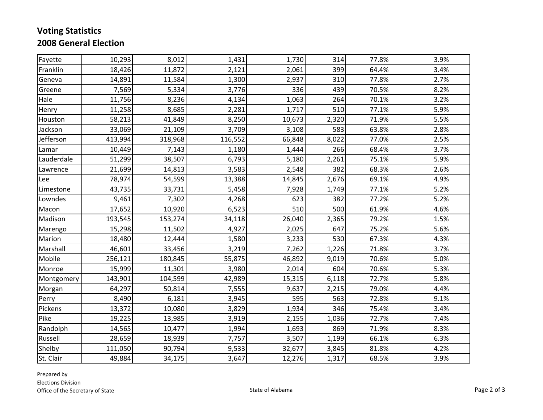## **Voting Statistics 2008 General Election**

| Fayette    | 10,293  | 8,012   | 1,431   | 1,730  | 314   | 77.8% | 3.9% |
|------------|---------|---------|---------|--------|-------|-------|------|
| Franklin   | 18,426  | 11,872  | 2,121   | 2,061  | 399   | 64.4% | 3.4% |
| Geneva     | 14,891  | 11,584  | 1,300   | 2,937  | 310   | 77.8% | 2.7% |
| Greene     | 7,569   | 5,334   | 3,776   | 336    | 439   | 70.5% | 8.2% |
| Hale       | 11,756  | 8,236   | 4,134   | 1,063  | 264   | 70.1% | 3.2% |
| Henry      | 11,258  | 8,685   | 2,281   | 1,717  | 510   | 77.1% | 5.9% |
| Houston    | 58,213  | 41,849  | 8,250   | 10,673 | 2,320 | 71.9% | 5.5% |
| Jackson    | 33,069  | 21,109  | 3,709   | 3,108  | 583   | 63.8% | 2.8% |
| Jefferson  | 413,994 | 318,968 | 116,552 | 66,848 | 8,022 | 77.0% | 2.5% |
| Lamar      | 10,449  | 7,143   | 1,180   | 1,444  | 266   | 68.4% | 3.7% |
| Lauderdale | 51,299  | 38,507  | 6,793   | 5,180  | 2,261 | 75.1% | 5.9% |
| Lawrence   | 21,699  | 14,813  | 3,583   | 2,548  | 382   | 68.3% | 2.6% |
| Lee        | 78,974  | 54,599  | 13,388  | 14,845 | 2,676 | 69.1% | 4.9% |
| Limestone  | 43,735  | 33,731  | 5,458   | 7,928  | 1,749 | 77.1% | 5.2% |
| Lowndes    | 9,461   | 7,302   | 4,268   | 623    | 382   | 77.2% | 5.2% |
| Macon      | 17,652  | 10,920  | 6,523   | 510    | 500   | 61.9% | 4.6% |
| Madison    | 193,545 | 153,274 | 34,118  | 26,040 | 2,365 | 79.2% | 1.5% |
| Marengo    | 15,298  | 11,502  | 4,927   | 2,025  | 647   | 75.2% | 5.6% |
| Marion     | 18,480  | 12,444  | 1,580   | 3,233  | 530   | 67.3% | 4.3% |
| Marshall   | 46,601  | 33,456  | 3,219   | 7,262  | 1,226 | 71.8% | 3.7% |
| Mobile     | 256,121 | 180,845 | 55,875  | 46,892 | 9,019 | 70.6% | 5.0% |
| Monroe     | 15,999  | 11,301  | 3,980   | 2,014  | 604   | 70.6% | 5.3% |
| Montgomery | 143,901 | 104,599 | 42,989  | 15,315 | 6,118 | 72.7% | 5.8% |
| Morgan     | 64,297  | 50,814  | 7,555   | 9,637  | 2,215 | 79.0% | 4.4% |
| Perry      | 8,490   | 6,181   | 3,945   | 595    | 563   | 72.8% | 9.1% |
| Pickens    | 13,372  | 10,080  | 3,829   | 1,934  | 346   | 75.4% | 3.4% |
| Pike       | 19,225  | 13,985  | 3,919   | 2,155  | 1,036 | 72.7% | 7.4% |
| Randolph   | 14,565  | 10,477  | 1,994   | 1,693  | 869   | 71.9% | 8.3% |
| Russell    | 28,659  | 18,939  | 7,757   | 3,507  | 1,199 | 66.1% | 6.3% |
| Shelby     | 111,050 | 90,794  | 9,533   | 32,677 | 3,845 | 81.8% | 4.2% |
| St. Clair  | 49,884  | 34,175  | 3,647   | 12,276 | 1,317 | 68.5% | 3.9% |

Prepared by Elections Division Office of the Secretary of State State State State State of Alabama Page 2 of 3